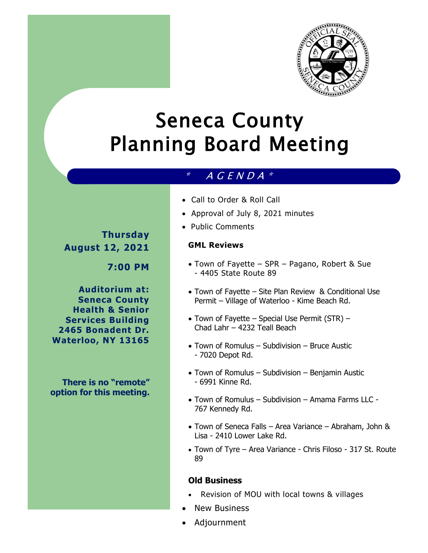

# Seneca County Planning Board Meeting

## $*$  A G E N D A  $*$

**Thursday** 

**August 12, 2021**

**7:00 PM**

**Auditorium at: Seneca County Health & Senior Services Building 2465 Bonadent Dr. Waterloo, NY 13165**

**There is no "remote" option for this meeting.** 

- Call to Order & Roll Call
- Approval of July 8, 2021 minutes
- Public Comments

#### **GML Reviews**

- Town of Fayette SPR Pagano, Robert & Sue - 4405 State Route 89
- Town of Fayette Site Plan Review & Conditional Use Permit – Village of Waterloo - Kime Beach Rd.
- Town of Fayette Special Use Permit (STR) Chad Lahr – 4232 Teall Beach
- Town of Romulus Subdivision Bruce Austic - 7020 Depot Rd.
- Town of Romulus Subdivision Benjamin Austic - 6991 Kinne Rd.
- Town of Romulus Subdivision Amama Farms LLC 767 Kennedy Rd.
- Town of Seneca Falls Area Variance Abraham, John & Lisa - 2410 Lower Lake Rd.
- Town of Tyre Area Variance Chris Filoso 317 St. Route 89

### **Old Business**

- Revision of MOU with local towns & villages
- New Business
- Adjournment